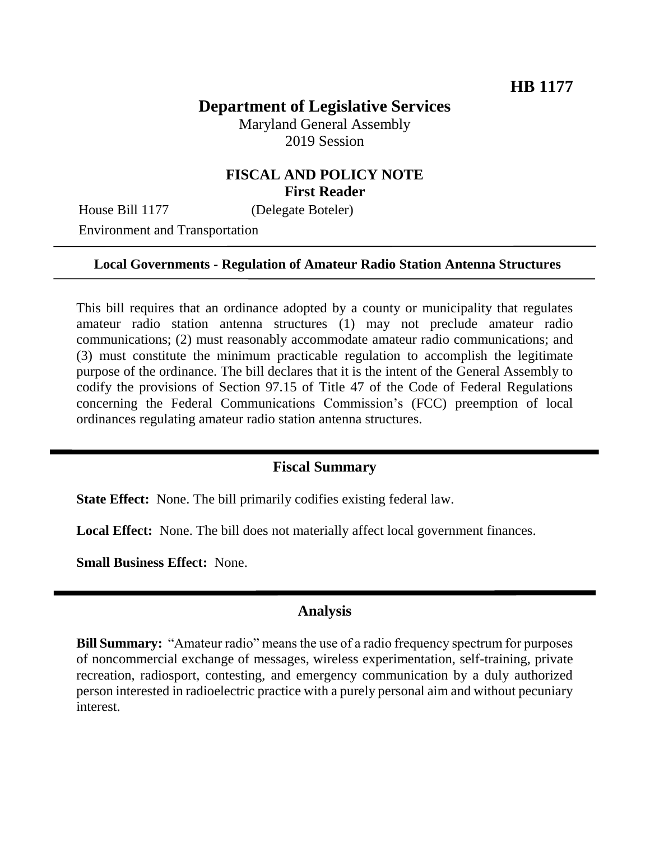# **Department of Legislative Services**

Maryland General Assembly 2019 Session

### **FISCAL AND POLICY NOTE First Reader**

House Bill 1177 (Delegate Boteler)

Environment and Transportation

#### **Local Governments - Regulation of Amateur Radio Station Antenna Structures**

This bill requires that an ordinance adopted by a county or municipality that regulates amateur radio station antenna structures (1) may not preclude amateur radio communications; (2) must reasonably accommodate amateur radio communications; and (3) must constitute the minimum practicable regulation to accomplish the legitimate purpose of the ordinance. The bill declares that it is the intent of the General Assembly to codify the provisions of Section 97.15 of Title 47 of the Code of Federal Regulations concerning the Federal Communications Commission's (FCC) preemption of local ordinances regulating amateur radio station antenna structures.

#### **Fiscal Summary**

**State Effect:** None. The bill primarily codifies existing federal law.

Local Effect: None. The bill does not materially affect local government finances.

**Small Business Effect:** None.

#### **Analysis**

**Bill Summary:** "Amateur radio" means the use of a radio frequency spectrum for purposes of noncommercial exchange of messages, wireless experimentation, self-training, private recreation, radiosport, contesting, and emergency communication by a duly authorized person interested in radioelectric practice with a purely personal aim and without pecuniary interest.